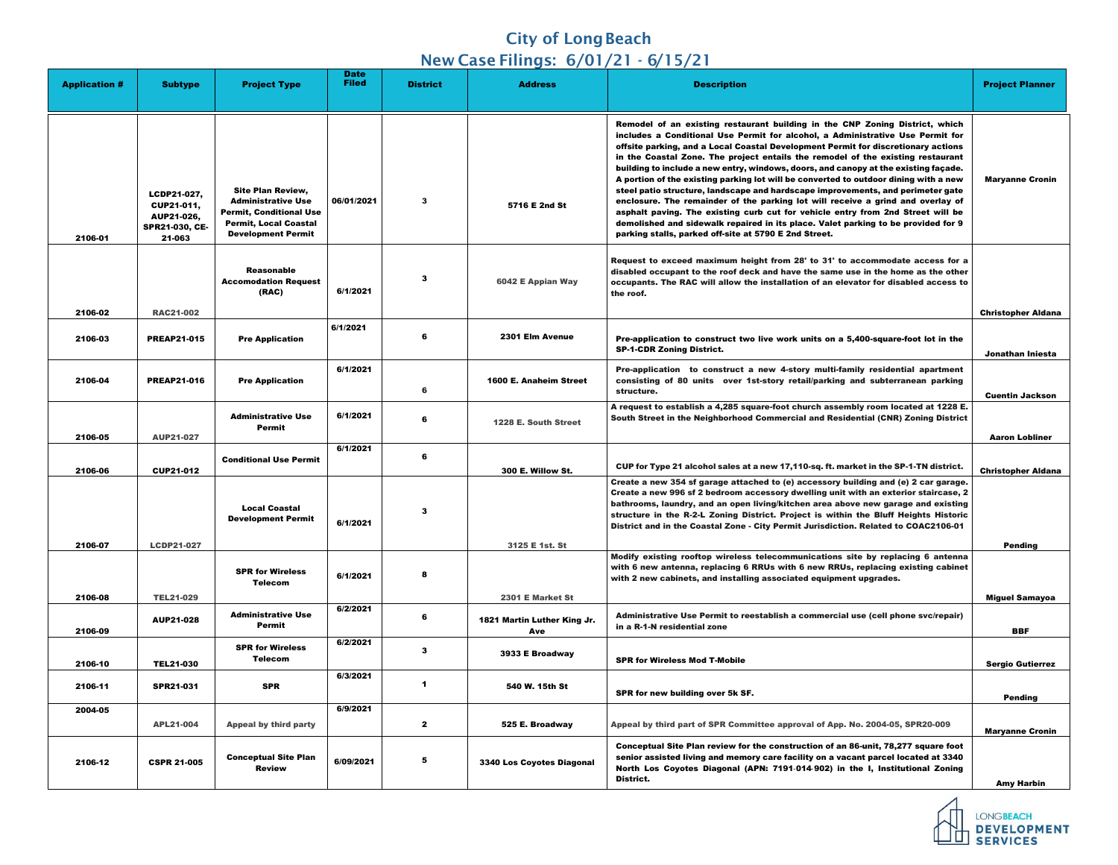## **City of Long Beach** New Case Filings: 6/01/21 - 6/15/21

|                      |                                                                            |                                                                                                                                                      | <b>Date</b>  |                         |                                           |                                                                                                                                                                                                                                                                                                                                                                                                                                                                                                                                                                                                                                                                                                                                                                                                                                                                                                                              |                           |
|----------------------|----------------------------------------------------------------------------|------------------------------------------------------------------------------------------------------------------------------------------------------|--------------|-------------------------|-------------------------------------------|------------------------------------------------------------------------------------------------------------------------------------------------------------------------------------------------------------------------------------------------------------------------------------------------------------------------------------------------------------------------------------------------------------------------------------------------------------------------------------------------------------------------------------------------------------------------------------------------------------------------------------------------------------------------------------------------------------------------------------------------------------------------------------------------------------------------------------------------------------------------------------------------------------------------------|---------------------------|
| <b>Application #</b> | <b>Subtype</b>                                                             | <b>Project Type</b>                                                                                                                                  | <b>Filed</b> | <b>District</b>         | <b>Address</b>                            | <b>Description</b>                                                                                                                                                                                                                                                                                                                                                                                                                                                                                                                                                                                                                                                                                                                                                                                                                                                                                                           | <b>Project Planner</b>    |
|                      |                                                                            |                                                                                                                                                      |              |                         |                                           |                                                                                                                                                                                                                                                                                                                                                                                                                                                                                                                                                                                                                                                                                                                                                                                                                                                                                                                              |                           |
| 2106-01              | LCDP21-027,<br>CUP21-011,<br>AUP21-026,<br><b>SPR21-030, CE-</b><br>21-063 | <b>Site Plan Review,</b><br><b>Administrative Use</b><br><b>Permit, Conditional Use</b><br><b>Permit, Local Coastal</b><br><b>Development Permit</b> | 06/01/2021   | $\mathbf{3}$            | 5716 E 2nd St                             | Remodel of an existing restaurant building in the CNP Zoning District, which<br>includes a Conditional Use Permit for alcohol, a Administrative Use Permit for<br>offsite parking, and a Local Coastal Development Permit for discretionary actions<br>in the Coastal Zone. The project entails the remodel of the existing restaurant<br>building to include a new entry, windows, doors, and canopy at the existing façade.<br>A portion of the existing parking lot will be converted to outdoor dining with a new<br>steel patio structure, landscape and hardscape improvements, and perimeter gate<br>enclosure. The remainder of the parking lot will receive a grind and overlay of<br>asphalt paving. The existing curb cut for vehicle entry from 2nd Street will be<br>demolished and sidewalk repaired in its place. Valet parking to be provided for 9<br>parking stalls, parked off-site at 5790 E 2nd Street. | <b>Maryanne Cronin</b>    |
|                      |                                                                            | <b>Reasonable</b><br><b>Accomodation Request</b><br>(RAC)                                                                                            | 6/1/2021     | $\mathbf{3}$            | 6042 E Appian Way                         | Request to exceed maximum height from 28' to 31' to accommodate access for a<br>disabled occupant to the roof deck and have the same use in the home as the other<br>occupants. The RAC will allow the installation of an elevator for disabled access to<br>the roof.                                                                                                                                                                                                                                                                                                                                                                                                                                                                                                                                                                                                                                                       |                           |
| 2106-02              | <b>RAC21-002</b>                                                           |                                                                                                                                                      |              |                         |                                           |                                                                                                                                                                                                                                                                                                                                                                                                                                                                                                                                                                                                                                                                                                                                                                                                                                                                                                                              | <b>Christopher Aldana</b> |
| 2106-03              | <b>PREAP21-015</b>                                                         | <b>Pre Application</b>                                                                                                                               | 6/1/2021     | 6                       | 2301 Elm Avenue                           | Pre-application to construct two live work units on a 5,400-square-foot lot in the<br><b>SP-1-CDR Zoning District.</b>                                                                                                                                                                                                                                                                                                                                                                                                                                                                                                                                                                                                                                                                                                                                                                                                       | Jonathan Iniesta          |
| 2106-04              | <b>PREAP21-016</b>                                                         | <b>Pre Application</b>                                                                                                                               | 6/1/2021     | 6                       | 1600 E. Anaheim Street                    | Pre-application to construct a new 4-story multi-family residential apartment<br>consisting of 80 units over 1st-story retail/parking and subterranean parking<br>structure.                                                                                                                                                                                                                                                                                                                                                                                                                                                                                                                                                                                                                                                                                                                                                 | <b>Cuentin Jackson</b>    |
|                      |                                                                            | <b>Administrative Use</b><br><b>Permit</b>                                                                                                           | 6/1/2021     | 6                       | 1228 E. South Street                      | A request to establish a 4,285 square-foot church assembly room located at 1228 E.<br>South Street in the Neighborhood Commercial and Residential (CNR) Zoning District                                                                                                                                                                                                                                                                                                                                                                                                                                                                                                                                                                                                                                                                                                                                                      |                           |
| 2106-05              | <b>AUP21-027</b>                                                           |                                                                                                                                                      | 6/1/2021     |                         |                                           |                                                                                                                                                                                                                                                                                                                                                                                                                                                                                                                                                                                                                                                                                                                                                                                                                                                                                                                              | <b>Aaron Lobliner</b>     |
| 2106-06              | <b>CUP21-012</b>                                                           | <b>Conditional Use Permit</b>                                                                                                                        |              | 6                       | 300 E. Willow St.                         | CUP for Type 21 alcohol sales at a new 17,110-sq. ft. market in the SP-1-TN district.                                                                                                                                                                                                                                                                                                                                                                                                                                                                                                                                                                                                                                                                                                                                                                                                                                        |                           |
|                      |                                                                            | <b>Local Coastal</b><br><b>Development Permit</b>                                                                                                    | 6/1/2021     | $\mathbf{3}$            |                                           | Create a new 354 sf garage attached to (e) accessory building and (e) 2 car garage.<br>Create a new 996 sf 2 bedroom accessory dwelling unit with an exterior staircase, 2<br>bathrooms, laundry, and an open living/kitchen area above new garage and existing<br>structure in the R-2-L Zoning District. Project is within the Bluff Heights Historic<br>District and in the Coastal Zone - City Permit Jurisdiction. Related to COAC2106-01                                                                                                                                                                                                                                                                                                                                                                                                                                                                               | <b>Christopher Aldana</b> |
| 2106-07              | <b>LCDP21-027</b>                                                          | <b>SPR for Wireless</b><br><b>Telecom</b>                                                                                                            | 6/1/2021     | 8                       | 3125 E 1st. St                            | Modify existing rooftop wireless telecommunications site by replacing 6 antenna<br>with 6 new antenna, replacing 6 RRUs with 6 new RRUs, replacing existing cabinet<br>with 2 new cabinets, and installing associated equipment upgrades.                                                                                                                                                                                                                                                                                                                                                                                                                                                                                                                                                                                                                                                                                    | <b>Pending</b>            |
| 2106-08              | <b>TEL21-029</b>                                                           |                                                                                                                                                      |              |                         | 2301 E Market St                          |                                                                                                                                                                                                                                                                                                                                                                                                                                                                                                                                                                                                                                                                                                                                                                                                                                                                                                                              | <b>Miguel Samayoa</b>     |
| 2106-09              | <b>AUP21-028</b>                                                           | <b>Administrative Use</b><br><b>Permit</b>                                                                                                           | 6/2/2021     | 6                       | 1821 Martin Luther King Jr.<br><b>Ave</b> | Administrative Use Permit to reestablish a commercial use (cell phone svc/repair)<br>in a R-1-N residential zone                                                                                                                                                                                                                                                                                                                                                                                                                                                                                                                                                                                                                                                                                                                                                                                                             | <b>BBF</b>                |
| 2106-10              | <b>TEL21-030</b>                                                           | <b>SPR for Wireless</b><br><b>Telecom</b>                                                                                                            | 6/2/2021     | $\mathbf{3}$            | 3933 E Broadway                           | <b>SPR for Wireless Mod T-Mobile</b>                                                                                                                                                                                                                                                                                                                                                                                                                                                                                                                                                                                                                                                                                                                                                                                                                                                                                         | <b>Sergio Gutierrez</b>   |
| 2106-11              | <b>SPR21-031</b>                                                           | <b>SPR</b>                                                                                                                                           | 6/3/2021     |                         | 540 W. 15th St                            | SPR for new building over 5k SF.                                                                                                                                                                                                                                                                                                                                                                                                                                                                                                                                                                                                                                                                                                                                                                                                                                                                                             | <b>Pending</b>            |
| 2004-05              | <b>APL21-004</b>                                                           | <b>Appeal by third party</b>                                                                                                                         | 6/9/2021     | $\mathbf{2}$            | 525 E. Broadway                           | Appeal by third part of SPR Committee approval of App. No. 2004-05, SPR20-009                                                                                                                                                                                                                                                                                                                                                                                                                                                                                                                                                                                                                                                                                                                                                                                                                                                | <b>Maryanne Cronin</b>    |
| 2106-12              | <b>CSPR 21-005</b>                                                         | <b>Conceptual Site Plan</b><br><b>Review</b>                                                                                                         | 6/09/2021    | $\overline{\mathbf{5}}$ | 3340 Los Coyotes Diagonal                 | Conceptual Site Plan review for the construction of an 86-unit, 78,277 square foot<br>senior assisted living and memory care facility on a vacant parcel located at 3340<br>North Los Coyotes Diagonal (APN: 7191-014-902) in the I, Institutional Zoning<br>District.                                                                                                                                                                                                                                                                                                                                                                                                                                                                                                                                                                                                                                                       | <b>Amy Harbin</b>         |
|                      |                                                                            |                                                                                                                                                      |              |                         |                                           |                                                                                                                                                                                                                                                                                                                                                                                                                                                                                                                                                                                                                                                                                                                                                                                                                                                                                                                              |                           |